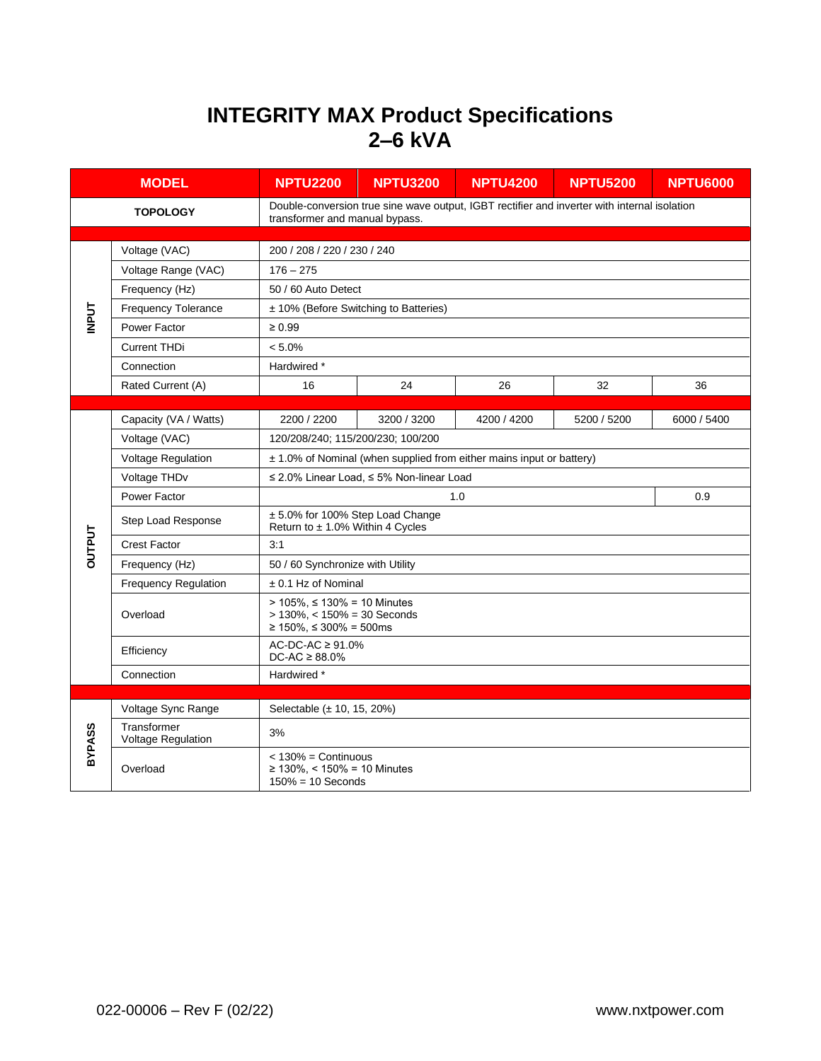## **INTEGRITY MAX Product Specifications 2–6 kVA**

| <b>MODEL</b>    |                                   | <b>NPTU2200</b>                                                                                                                | <b>NPTU3200</b> | <b>NPTU4200</b> | <b>NPTU5200</b> | <b>NPTU6000</b> |  |  |
|-----------------|-----------------------------------|--------------------------------------------------------------------------------------------------------------------------------|-----------------|-----------------|-----------------|-----------------|--|--|
| <b>TOPOLOGY</b> |                                   | Double-conversion true sine wave output, IGBT rectifier and inverter with internal isolation<br>transformer and manual bypass. |                 |                 |                 |                 |  |  |
|                 |                                   |                                                                                                                                |                 |                 |                 |                 |  |  |
|                 | Voltage (VAC)                     | 200 / 208 / 220 / 230 / 240                                                                                                    |                 |                 |                 |                 |  |  |
|                 | Voltage Range (VAC)               | $176 - 275$                                                                                                                    |                 |                 |                 |                 |  |  |
|                 | Frequency (Hz)                    | 50 / 60 Auto Detect                                                                                                            |                 |                 |                 |                 |  |  |
|                 | <b>Frequency Tolerance</b>        | ± 10% (Before Switching to Batteries)                                                                                          |                 |                 |                 |                 |  |  |
| <b>INPUT</b>    | Power Factor                      | $\geq 0.99$                                                                                                                    |                 |                 |                 |                 |  |  |
|                 | <b>Current THDi</b>               | $< 5.0\%$                                                                                                                      |                 |                 |                 |                 |  |  |
|                 | Connection                        | Hardwired *                                                                                                                    |                 |                 |                 |                 |  |  |
|                 | Rated Current (A)                 | 16                                                                                                                             | 24              | 26              | 32              | 36              |  |  |
|                 |                                   |                                                                                                                                |                 |                 |                 |                 |  |  |
|                 | Capacity (VA / Watts)             | 2200 / 2200                                                                                                                    | 3200 / 3200     | 4200 / 4200     | 5200 / 5200     | 6000 / 5400     |  |  |
|                 | Voltage (VAC)                     | 120/208/240; 115/200/230; 100/200                                                                                              |                 |                 |                 |                 |  |  |
|                 | Voltage Regulation                | ± 1.0% of Nominal (when supplied from either mains input or battery)                                                           |                 |                 |                 |                 |  |  |
|                 | Voltage THDv                      | $\leq$ 2.0% Linear Load, $\leq$ 5% Non-linear Load                                                                             |                 |                 |                 |                 |  |  |
|                 | Power Factor                      |                                                                                                                                | 0.9             |                 |                 |                 |  |  |
|                 | Step Load Response                | ± 5.0% for 100% Step Load Change<br>Return to ± 1.0% Within 4 Cycles                                                           |                 |                 |                 |                 |  |  |
| <b>DUTPUT</b>   | <b>Crest Factor</b>               | 3:1                                                                                                                            |                 |                 |                 |                 |  |  |
|                 | Frequency (Hz)                    | 50 / 60 Synchronize with Utility                                                                                               |                 |                 |                 |                 |  |  |
|                 | Frequency Regulation              | ± 0.1 Hz of Nominal                                                                                                            |                 |                 |                 |                 |  |  |
|                 | Overload                          | > 105%, ≤ 130% = 10 Minutes<br>$> 130\%$ , < $150\% = 30$ Seconds<br>≥ 150%, ≤ 300% = 500ms                                    |                 |                 |                 |                 |  |  |
|                 | Efficiency                        | $AC-DC-AC \ge 91.0\%$<br>$DC-AC \geq 88.0\%$                                                                                   |                 |                 |                 |                 |  |  |
|                 | Connection                        | Hardwired *                                                                                                                    |                 |                 |                 |                 |  |  |
|                 |                                   |                                                                                                                                |                 |                 |                 |                 |  |  |
| BYPASS          | Voltage Sync Range                | Selectable (± 10, 15, 20%)                                                                                                     |                 |                 |                 |                 |  |  |
|                 | Transformer<br>Voltage Regulation | 3%                                                                                                                             |                 |                 |                 |                 |  |  |
|                 | Overload                          | $<$ 130% = Continuous<br>≥ 130%, < 150% = 10 Minutes<br>$150\% = 10$ Seconds                                                   |                 |                 |                 |                 |  |  |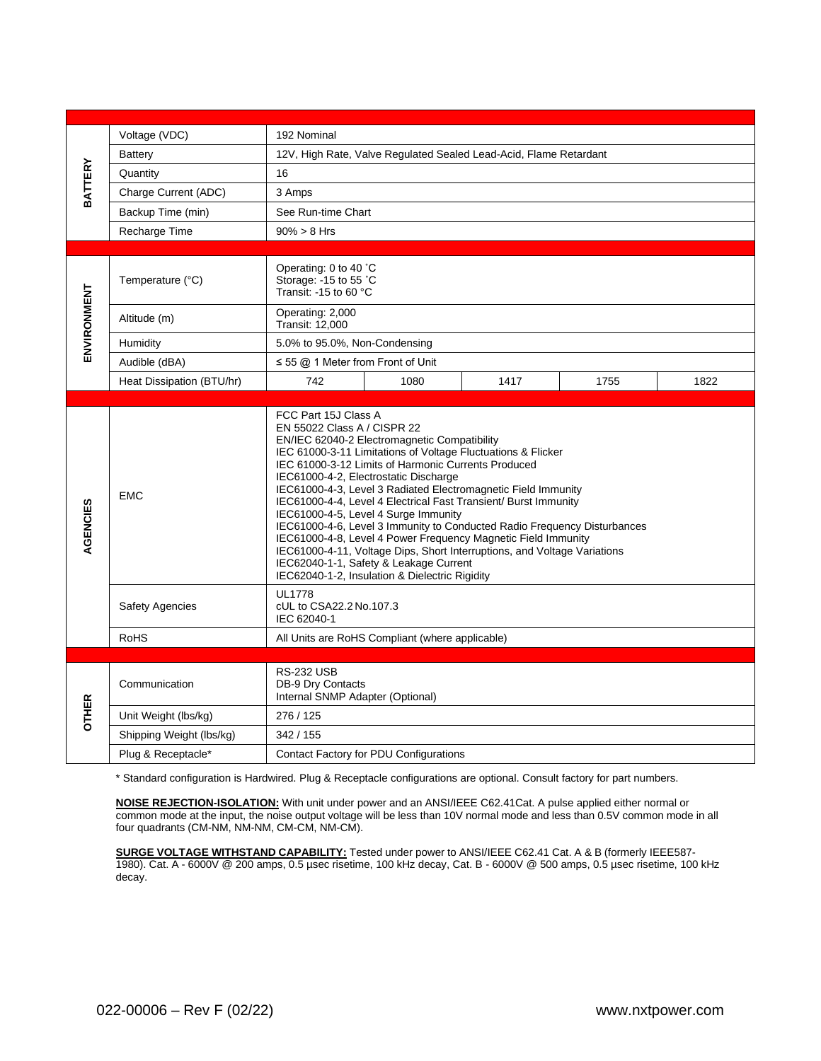|                | Voltage (VDC)             | 192 Nominal                                                                                                                                                                                                                                                                                                                                                                                                                                                                                                                                                                                                                                                                                                                                                          |  |  |  |  |  |
|----------------|---------------------------|----------------------------------------------------------------------------------------------------------------------------------------------------------------------------------------------------------------------------------------------------------------------------------------------------------------------------------------------------------------------------------------------------------------------------------------------------------------------------------------------------------------------------------------------------------------------------------------------------------------------------------------------------------------------------------------------------------------------------------------------------------------------|--|--|--|--|--|
|                | <b>Battery</b>            | 12V, High Rate, Valve Regulated Sealed Lead-Acid, Flame Retardant                                                                                                                                                                                                                                                                                                                                                                                                                                                                                                                                                                                                                                                                                                    |  |  |  |  |  |
| <b>BATTERY</b> | Quantity                  | 16                                                                                                                                                                                                                                                                                                                                                                                                                                                                                                                                                                                                                                                                                                                                                                   |  |  |  |  |  |
|                | Charge Current (ADC)      | 3 Amps                                                                                                                                                                                                                                                                                                                                                                                                                                                                                                                                                                                                                                                                                                                                                               |  |  |  |  |  |
|                | Backup Time (min)         | See Run-time Chart                                                                                                                                                                                                                                                                                                                                                                                                                                                                                                                                                                                                                                                                                                                                                   |  |  |  |  |  |
|                | Recharge Time             | $90\% > 8$ Hrs                                                                                                                                                                                                                                                                                                                                                                                                                                                                                                                                                                                                                                                                                                                                                       |  |  |  |  |  |
|                |                           |                                                                                                                                                                                                                                                                                                                                                                                                                                                                                                                                                                                                                                                                                                                                                                      |  |  |  |  |  |
|                | Temperature (°C)          | Operating: 0 to 40 °C<br>Storage: -15 to 55 °C<br>Transit: -15 to 60 °C                                                                                                                                                                                                                                                                                                                                                                                                                                                                                                                                                                                                                                                                                              |  |  |  |  |  |
| ENVIRONMENT    | Altitude (m)              | Operating: 2,000<br>Transit: 12,000                                                                                                                                                                                                                                                                                                                                                                                                                                                                                                                                                                                                                                                                                                                                  |  |  |  |  |  |
|                | Humidity                  | 5.0% to 95.0%, Non-Condensing                                                                                                                                                                                                                                                                                                                                                                                                                                                                                                                                                                                                                                                                                                                                        |  |  |  |  |  |
|                | Audible (dBA)             | $\leq$ 55 @ 1 Meter from Front of Unit                                                                                                                                                                                                                                                                                                                                                                                                                                                                                                                                                                                                                                                                                                                               |  |  |  |  |  |
|                | Heat Dissipation (BTU/hr) | 742<br>1080<br>1417<br>1755<br>1822                                                                                                                                                                                                                                                                                                                                                                                                                                                                                                                                                                                                                                                                                                                                  |  |  |  |  |  |
|                |                           |                                                                                                                                                                                                                                                                                                                                                                                                                                                                                                                                                                                                                                                                                                                                                                      |  |  |  |  |  |
| AGENCIES       | <b>EMC</b>                | FCC Part 15J Class A<br>EN 55022 Class A / CISPR 22<br>EN/IEC 62040-2 Electromagnetic Compatibility<br>IEC 61000-3-11 Limitations of Voltage Fluctuations & Flicker<br>IEC 61000-3-12 Limits of Harmonic Currents Produced<br>IEC61000-4-2, Electrostatic Discharge<br>IEC61000-4-3, Level 3 Radiated Electromagnetic Field Immunity<br>IEC61000-4-4, Level 4 Electrical Fast Transient/ Burst Immunity<br>IEC61000-4-5, Level 4 Surge Immunity<br>IEC61000-4-6, Level 3 Immunity to Conducted Radio Frequency Disturbances<br>IEC61000-4-8, Level 4 Power Frequency Magnetic Field Immunity<br>IEC61000-4-11, Voltage Dips, Short Interruptions, and Voltage Variations<br>IEC62040-1-1, Safety & Leakage Current<br>IEC62040-1-2, Insulation & Dielectric Rigidity |  |  |  |  |  |
|                | <b>Safety Agencies</b>    | <b>UL1778</b><br>cUL to CSA22.2 No.107.3<br>IEC 62040-1                                                                                                                                                                                                                                                                                                                                                                                                                                                                                                                                                                                                                                                                                                              |  |  |  |  |  |
|                | <b>RoHS</b>               | All Units are RoHS Compliant (where applicable)                                                                                                                                                                                                                                                                                                                                                                                                                                                                                                                                                                                                                                                                                                                      |  |  |  |  |  |
| <b>OTHER</b>   |                           |                                                                                                                                                                                                                                                                                                                                                                                                                                                                                                                                                                                                                                                                                                                                                                      |  |  |  |  |  |
|                | Communication             | <b>RS-232 USB</b><br>DB-9 Dry Contacts<br>Internal SNMP Adapter (Optional)                                                                                                                                                                                                                                                                                                                                                                                                                                                                                                                                                                                                                                                                                           |  |  |  |  |  |
|                | Unit Weight (lbs/kg)      | 276 / 125                                                                                                                                                                                                                                                                                                                                                                                                                                                                                                                                                                                                                                                                                                                                                            |  |  |  |  |  |
|                | Shipping Weight (lbs/kg)  | 342 / 155                                                                                                                                                                                                                                                                                                                                                                                                                                                                                                                                                                                                                                                                                                                                                            |  |  |  |  |  |
|                | Plug & Receptacle*        | Contact Factory for PDU Configurations                                                                                                                                                                                                                                                                                                                                                                                                                                                                                                                                                                                                                                                                                                                               |  |  |  |  |  |

\* Standard configuration is Hardwired. Plug & Receptacle configurations are optional. Consult factory for part numbers.

**NOISE REJECTION-ISOLATION:** With unit under power and an ANSI/IEEE C62.41Cat. A pulse applied either normal or common mode at the input, the noise output voltage will be less than 10V normal mode and less than 0.5V common mode in all four quadrants (CM-NM, NM-NM, CM-CM, NM-CM).

**SURGE VOLTAGE WITHSTAND CAPABILITY:** Tested under power to ANSI/IEEE C62.41 Cat. A & B (formerly IEEE587- 1980). Cat. A - 6000V @ 200 amps, 0.5 µsec risetime, 100 kHz decay, Cat. B - 6000V @ 500 amps, 0.5 µsec risetime, 100 kHz decay.